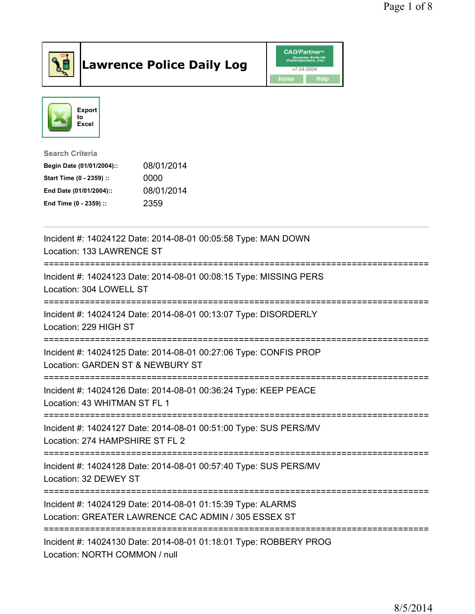

## Lawrence Police Daily Log **Daniel CAD/Partner**





Search Criteria Begin Date (01/01/2004):: 08/01/2014

| Start Time (0 - 2359) :: | 0000       |
|--------------------------|------------|
| End Date (01/01/2004)::  | 08/01/2014 |
| End Time (0 - 2359) ::   | 2359       |

| Incident #: 14024122 Date: 2014-08-01 00:05:58 Type: MAN DOWN<br>Location: 133 LAWRENCE ST                         |
|--------------------------------------------------------------------------------------------------------------------|
| Incident #: 14024123 Date: 2014-08-01 00:08:15 Type: MISSING PERS<br>Location: 304 LOWELL ST                       |
| Incident #: 14024124 Date: 2014-08-01 00:13:07 Type: DISORDERLY<br>Location: 229 HIGH ST                           |
| Incident #: 14024125 Date: 2014-08-01 00:27:06 Type: CONFIS PROP<br>Location: GARDEN ST & NEWBURY ST               |
| Incident #: 14024126 Date: 2014-08-01 00:36:24 Type: KEEP PEACE<br>Location: 43 WHITMAN ST FL 1                    |
| Incident #: 14024127 Date: 2014-08-01 00:51:00 Type: SUS PERS/MV<br>Location: 274 HAMPSHIRE ST FL 2                |
| Incident #: 14024128 Date: 2014-08-01 00:57:40 Type: SUS PERS/MV<br>Location: 32 DEWEY ST                          |
| Incident #: 14024129 Date: 2014-08-01 01:15:39 Type: ALARMS<br>Location: GREATER LAWRENCE CAC ADMIN / 305 ESSEX ST |
| Incident #: 14024130 Date: 2014-08-01 01:18:01 Type: ROBBERY PROG<br>Location: NORTH COMMON / null                 |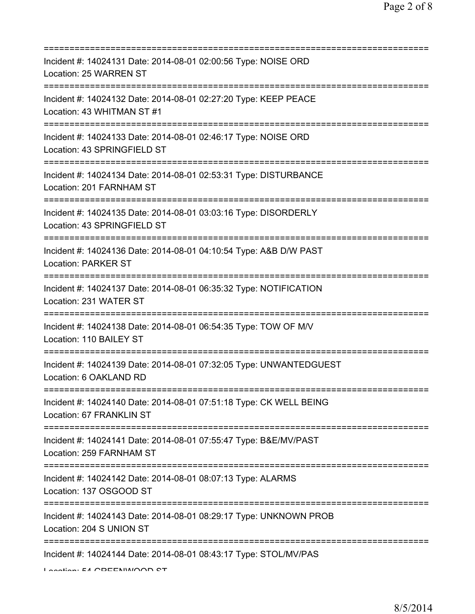| Incident #: 14024131 Date: 2014-08-01 02:00:56 Type: NOISE ORD<br>Location: 25 WARREN ST                                           |
|------------------------------------------------------------------------------------------------------------------------------------|
| Incident #: 14024132 Date: 2014-08-01 02:27:20 Type: KEEP PEACE<br>Location: 43 WHITMAN ST #1                                      |
| Incident #: 14024133 Date: 2014-08-01 02:46:17 Type: NOISE ORD<br>Location: 43 SPRINGFIELD ST                                      |
| Incident #: 14024134 Date: 2014-08-01 02:53:31 Type: DISTURBANCE<br>Location: 201 FARNHAM ST                                       |
| Incident #: 14024135 Date: 2014-08-01 03:03:16 Type: DISORDERLY<br>Location: 43 SPRINGFIELD ST                                     |
| Incident #: 14024136 Date: 2014-08-01 04:10:54 Type: A&B D/W PAST<br><b>Location: PARKER ST</b>                                    |
| Incident #: 14024137 Date: 2014-08-01 06:35:32 Type: NOTIFICATION<br>Location: 231 WATER ST                                        |
| Incident #: 14024138 Date: 2014-08-01 06:54:35 Type: TOW OF M/V<br>Location: 110 BAILEY ST                                         |
| Incident #: 14024139 Date: 2014-08-01 07:32:05 Type: UNWANTEDGUEST<br>Location: 6 OAKLAND RD                                       |
| Incident #: 14024140 Date: 2014-08-01 07:51:18 Type: CK WELL BEING<br>Location: 67 FRANKLIN ST<br>================================ |
| Incident #: 14024141 Date: 2014-08-01 07:55:47 Type: B&E/MV/PAST<br>Location: 259 FARNHAM ST                                       |
| Incident #: 14024142 Date: 2014-08-01 08:07:13 Type: ALARMS<br>Location: 137 OSGOOD ST                                             |
| Incident #: 14024143 Date: 2014-08-01 08:29:17 Type: UNKNOWN PROB<br>Location: 204 S UNION ST                                      |
| Incident #: 14024144 Date: 2014-08-01 08:43:17 Type: STOL/MV/PAS<br>Location: EA COEENIMIOOD CT                                    |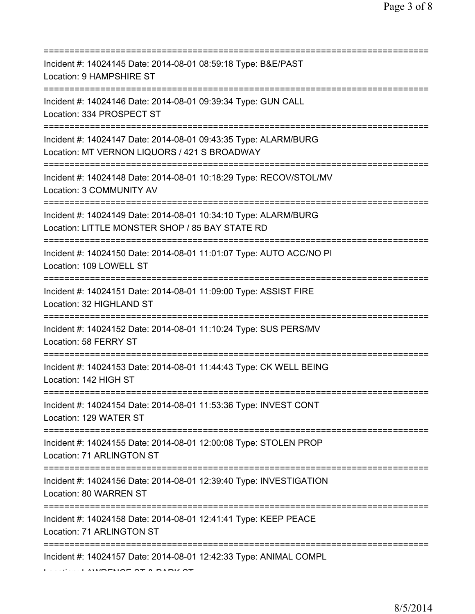| Incident #: 14024145 Date: 2014-08-01 08:59:18 Type: B&E/PAST<br>Location: 9 HAMPSHIRE ST                                              |
|----------------------------------------------------------------------------------------------------------------------------------------|
| =====================<br>Incident #: 14024146 Date: 2014-08-01 09:39:34 Type: GUN CALL<br>Location: 334 PROSPECT ST                    |
| Incident #: 14024147 Date: 2014-08-01 09:43:35 Type: ALARM/BURG<br>Location: MT VERNON LIQUORS / 421 S BROADWAY                        |
| Incident #: 14024148 Date: 2014-08-01 10:18:29 Type: RECOV/STOL/MV<br>Location: 3 COMMUNITY AV<br>==================================== |
| Incident #: 14024149 Date: 2014-08-01 10:34:10 Type: ALARM/BURG<br>Location: LITTLE MONSTER SHOP / 85 BAY STATE RD                     |
| Incident #: 14024150 Date: 2014-08-01 11:01:07 Type: AUTO ACC/NO PI<br>Location: 109 LOWELL ST                                         |
| Incident #: 14024151 Date: 2014-08-01 11:09:00 Type: ASSIST FIRE<br>Location: 32 HIGHLAND ST                                           |
| Incident #: 14024152 Date: 2014-08-01 11:10:24 Type: SUS PERS/MV<br>Location: 58 FERRY ST                                              |
| Incident #: 14024153 Date: 2014-08-01 11:44:43 Type: CK WELL BEING<br>Location: 142 HIGH ST                                            |
| Incident #: 14024154 Date: 2014-08-01 11:53:36 Type: INVEST CONT<br>Location: 129 WATER ST                                             |
| Incident #: 14024155 Date: 2014-08-01 12:00:08 Type: STOLEN PROP<br>Location: 71 ARLINGTON ST                                          |
| Incident #: 14024156 Date: 2014-08-01 12:39:40 Type: INVESTIGATION<br>Location: 80 WARREN ST                                           |
| Incident #: 14024158 Date: 2014-08-01 12:41:41 Type: KEEP PEACE<br>Location: 71 ARLINGTON ST                                           |
| Incident #: 14024157 Date: 2014-08-01 12:42:33 Type: ANIMAL COMPL                                                                      |

 $L_{\text{sc}}(t)$  . LAMPENCE OF A PARK OF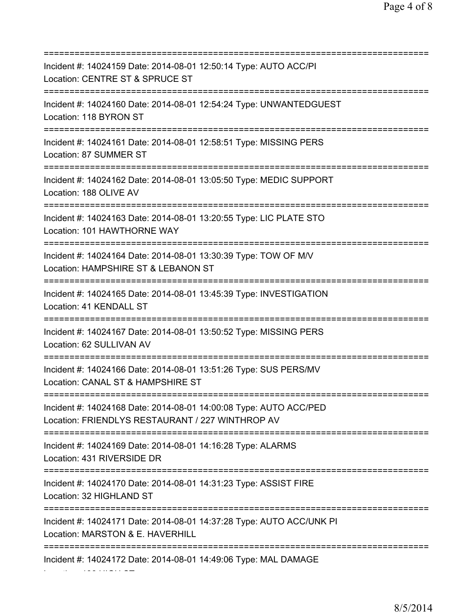=========================================================================== Incident #: 14024159 Date: 2014-08-01 12:50:14 Type: AUTO ACC/PI Location: CENTRE ST & SPRUCE ST =========================================================================== Incident #: 14024160 Date: 2014-08-01 12:54:24 Type: UNWANTEDGUEST Location: 118 BYRON ST =========================================================================== Incident #: 14024161 Date: 2014-08-01 12:58:51 Type: MISSING PERS Location: 87 SUMMER ST =========================================================================== Incident #: 14024162 Date: 2014-08-01 13:05:50 Type: MEDIC SUPPORT Location: 188 OLIVE AV =========================================================================== Incident #: 14024163 Date: 2014-08-01 13:20:55 Type: LIC PLATE STO Location: 101 HAWTHORNE WAY =========================================================================== Incident #: 14024164 Date: 2014-08-01 13:30:39 Type: TOW OF M/V Location: HAMPSHIRE ST & LEBANON ST =========================================================================== Incident #: 14024165 Date: 2014-08-01 13:45:39 Type: INVESTIGATION Location: 41 KENDALL ST =========================================================================== Incident #: 14024167 Date: 2014-08-01 13:50:52 Type: MISSING PERS Location: 62 SULLIVAN AV =========================================================================== Incident #: 14024166 Date: 2014-08-01 13:51:26 Type: SUS PERS/MV Location: CANAL ST & HAMPSHIRE ST =========================================================================== Incident #: 14024168 Date: 2014-08-01 14:00:08 Type: AUTO ACC/PED Location: FRIENDLYS RESTAURANT / 227 WINTHROP AV =========================================================================== Incident #: 14024169 Date: 2014-08-01 14:16:28 Type: ALARMS Location: 431 RIVERSIDE DR =========================================================================== Incident #: 14024170 Date: 2014-08-01 14:31:23 Type: ASSIST FIRE Location: 32 HIGHLAND ST =========================================================================== Incident #: 14024171 Date: 2014-08-01 14:37:28 Type: AUTO ACC/UNK PI Location: MARSTON & E. HAVERHILL =========================================================================== Incident #: 14024172 Date: 2014-08-01 14:49:06 Type: MAL DAMAGE

Location: 196 HIGH ST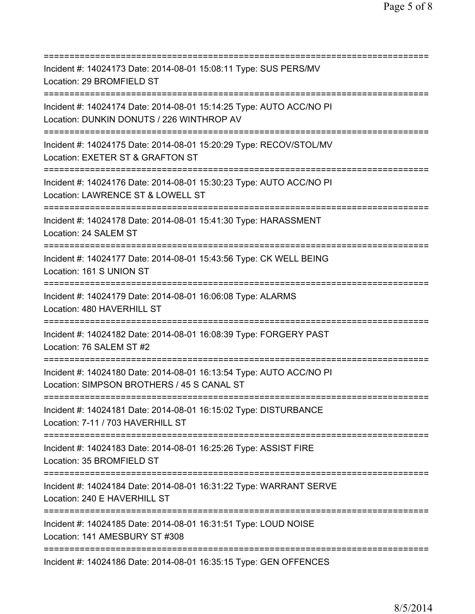| Incident #: 14024173 Date: 2014-08-01 15:08:11 Type: SUS PERS/MV<br>Location: 29 BROMFIELD ST                                        |
|--------------------------------------------------------------------------------------------------------------------------------------|
| Incident #: 14024174 Date: 2014-08-01 15:14:25 Type: AUTO ACC/NO PI<br>Location: DUNKIN DONUTS / 226 WINTHROP AV                     |
| Incident #: 14024175 Date: 2014-08-01 15:20:29 Type: RECOV/STOL/MV<br>Location: EXETER ST & GRAFTON ST                               |
| Incident #: 14024176 Date: 2014-08-01 15:30:23 Type: AUTO ACC/NO PI<br>Location: LAWRENCE ST & LOWELL ST                             |
| Incident #: 14024178 Date: 2014-08-01 15:41:30 Type: HARASSMENT<br>Location: 24 SALEM ST<br>==========================               |
| Incident #: 14024177 Date: 2014-08-01 15:43:56 Type: CK WELL BEING<br>Location: 161 S UNION ST                                       |
| Incident #: 14024179 Date: 2014-08-01 16:06:08 Type: ALARMS<br>Location: 480 HAVERHILL ST                                            |
| Incident #: 14024182 Date: 2014-08-01 16:08:39 Type: FORGERY PAST<br>Location: 76 SALEM ST #2                                        |
| Incident #: 14024180 Date: 2014-08-01 16:13:54 Type: AUTO ACC/NO PI<br>Location: SIMPSON BROTHERS / 45 S CANAL ST                    |
| Incident #: 14024181 Date: 2014-08-01 16:15:02 Type: DISTURBANCE<br>Location: 7-11 / 703 HAVERHILL ST                                |
| Incident #: 14024183 Date: 2014-08-01 16:25:26 Type: ASSIST FIRE<br>Location: 35 BROMFIELD ST                                        |
| ==============================<br>Incident #: 14024184 Date: 2014-08-01 16:31:22 Type: WARRANT SERVE<br>Location: 240 E HAVERHILL ST |
| Incident #: 14024185 Date: 2014-08-01 16:31:51 Type: LOUD NOISE<br>Location: 141 AMESBURY ST #308                                    |
| Incident #: 14024186 Date: 2014-08-01 16:35:15 Type: GEN OFFENCES                                                                    |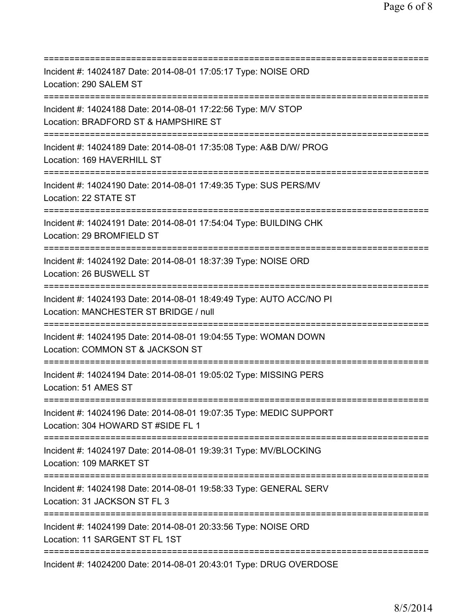| ===========================                                                                                                               |
|-------------------------------------------------------------------------------------------------------------------------------------------|
| Incident #: 14024187 Date: 2014-08-01 17:05:17 Type: NOISE ORD<br>Location: 290 SALEM ST                                                  |
| Incident #: 14024188 Date: 2014-08-01 17:22:56 Type: M/V STOP<br>Location: BRADFORD ST & HAMPSHIRE ST                                     |
| Incident #: 14024189 Date: 2014-08-01 17:35:08 Type: A&B D/W/ PROG<br>Location: 169 HAVERHILL ST                                          |
| Incident #: 14024190 Date: 2014-08-01 17:49:35 Type: SUS PERS/MV<br>Location: 22 STATE ST                                                 |
| Incident #: 14024191 Date: 2014-08-01 17:54:04 Type: BUILDING CHK<br>Location: 29 BROMFIELD ST<br>======================================  |
| Incident #: 14024192 Date: 2014-08-01 18:37:39 Type: NOISE ORD<br>Location: 26 BUSWELL ST<br>===================================          |
| Incident #: 14024193 Date: 2014-08-01 18:49:49 Type: AUTO ACC/NO PI<br>Location: MANCHESTER ST BRIDGE / null                              |
| Incident #: 14024195 Date: 2014-08-01 19:04:55 Type: WOMAN DOWN<br>Location: COMMON ST & JACKSON ST                                       |
| Incident #: 14024194 Date: 2014-08-01 19:05:02 Type: MISSING PERS<br>Location: 51 AMES ST                                                 |
| Incident #: 14024196 Date: 2014-08-01 19:07:35 Type: MEDIC SUPPORT<br>Location: 304 HOWARD ST #SIDE FL 1                                  |
| Incident #: 14024197 Date: 2014-08-01 19:39:31 Type: MV/BLOCKING<br>Location: 109 MARKET ST                                               |
| Incident #: 14024198 Date: 2014-08-01 19:58:33 Type: GENERAL SERV<br>Location: 31 JACKSON ST FL 3                                         |
| =====================================<br>Incident #: 14024199 Date: 2014-08-01 20:33:56 Type: NOISE ORD<br>Location: 11 SARGENT ST FL 1ST |
| =========================<br>Incident #: 14024200 Date: 2014-08-01 20:43:01 Type: DRUG OVERDOSE                                           |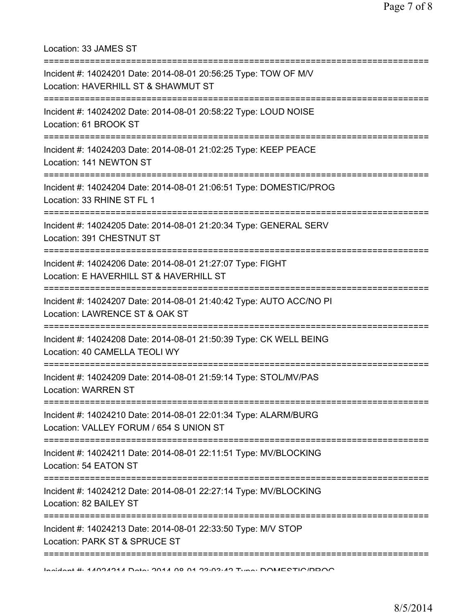Location: 33 JAMES ST

| Incident #: 14024201 Date: 2014-08-01 20:56:25 Type: TOW OF M/V<br>Location: HAVERHILL ST & SHAWMUT ST                                    |
|-------------------------------------------------------------------------------------------------------------------------------------------|
| Incident #: 14024202 Date: 2014-08-01 20:58:22 Type: LOUD NOISE<br>Location: 61 BROOK ST                                                  |
| Incident #: 14024203 Date: 2014-08-01 21:02:25 Type: KEEP PEACE<br>Location: 141 NEWTON ST                                                |
| Incident #: 14024204 Date: 2014-08-01 21:06:51 Type: DOMESTIC/PROG<br>Location: 33 RHINE ST FL 1<br>===================================== |
| Incident #: 14024205 Date: 2014-08-01 21:20:34 Type: GENERAL SERV<br>Location: 391 CHESTNUT ST<br>:=================================      |
| Incident #: 14024206 Date: 2014-08-01 21:27:07 Type: FIGHT<br>Location: E HAVERHILL ST & HAVERHILL ST                                     |
| Incident #: 14024207 Date: 2014-08-01 21:40:42 Type: AUTO ACC/NO PI<br>Location: LAWRENCE ST & OAK ST                                     |
| Incident #: 14024208 Date: 2014-08-01 21:50:39 Type: CK WELL BEING<br>Location: 40 CAMELLA TEOLI WY                                       |
| Incident #: 14024209 Date: 2014-08-01 21:59:14 Type: STOL/MV/PAS<br><b>Location: WARREN ST</b>                                            |
| Incident #: 14024210 Date: 2014-08-01 22:01:34 Type: ALARM/BURG<br>Location: VALLEY FORUM / 654 S UNION ST                                |
| Incident #: 14024211 Date: 2014-08-01 22:11:51 Type: MV/BLOCKING<br>Location: 54 EATON ST                                                 |
| Incident #: 14024212 Date: 2014-08-01 22:27:14 Type: MV/BLOCKING<br>Location: 82 BAILEY ST                                                |
| Incident #: 14024213 Date: 2014-08-01 22:33:50 Type: M/V STOP<br>Location: PARK ST & SPRUCE ST                                            |
| Indident #: 4 4004044 Data: 0044 00.04 00:00:40 Tune: DOMECTIC/DDOO                                                                       |